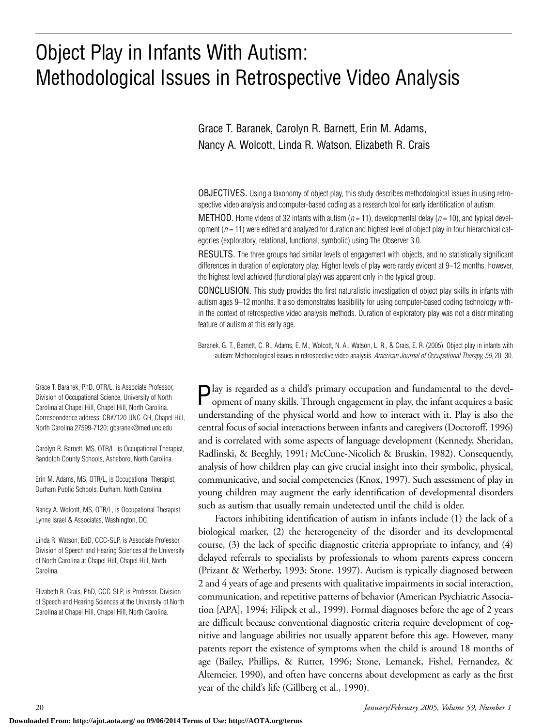# Object Play in Infants With Autism: Methodological Issues in Retrospective Video Analysis

Grace T. Baranek, Carolyn R. Barnett, Erin M. Adams, Nancy A. Wolcott, Linda R. Watson, Elizabeth R. Crais

OBJECTIVES. Using a taxonomy of object play, this study describes methodological issues in using retrospective video analysis and computer-based coding as a research tool for early identification of autism.

METHOD. Home videos of 32 infants with autism (*n* = 11), developmental delay (*n* = 10), and typical development  $(n = 11)$  were edited and analyzed for duration and highest level of object play in four hierarchical categories (exploratory, relational, functional, symbolic) using The Observer 3.0.

RESULTS. The three groups had similar levels of engagement with objects, and no statistically significant differences in duration of exploratory play. Higher levels of play were rarely evident at 9–12 months, however, the highest level achieved (functional play) was apparent only in the typical group.

CONCLUSION. This study provides the first naturalistic investigation of object play skills in infants with autism ages 9–12 months. It also demonstrates feasibility for using computer-based coding technology within the context of retrospective video analysis methods. Duration of exploratory play was not a discriminating feature of autism at this early age.

Baranek, G. T., Barnett, C. R., Adams, E. M., Wolcott, N. A., Watson, L. R., & Crais, E. R. (2005). Object play in infants with autism: Methodological issues in retrospective video analysis. *American Journal of Occupational Therapy, 59,* 20–30.

 $\bigcap$  lay is regarded as a child's primary occupation and fundamental to the development of many skills. Through engagement in play, the infant acquires a basic understanding of the physical world and how to interact with it. Play is also the central focus of social interactions between infants and caregivers (Doctoroff, 1996) and is correlated with some aspects of language development (Kennedy, Sheridan, Radlinski, & Beeghly, 1991; McCune-Nicolich & Bruskin, 1982). Consequently, analysis of how children play can give crucial insight into their symbolic, physical, communicative, and social competencies (Knox, 1997). Such assessment of play in young children may augment the early identification of developmental disorders such as autism that usually remain undetected until the child is older.

Factors inhibiting identification of autism in infants include (1) the lack of a biological marker, (2) the heterogeneity of the disorder and its developmental course, (3) the lack of specific diagnostic criteria appropriate to infancy, and (4) delayed referrals to specialists by professionals to whom parents express concern (Prizant & Wetherby, 1993; Stone, 1997). Autism is typically diagnosed between 2 and 4 years of age and presents with qualitative impairments in social interaction, communication, and repetitive patterns of behavior (American Psychiatric Association [APA], 1994; Filipek et al., 1999). Formal diagnoses before the age of 2 years are difficult because conventional diagnostic criteria require development of cognitive and language abilities not usually apparent before this age. However, many parents report the existence of symptoms when the child is around 18 months of age (Bailey, Phillips, & Rutter, 1996; Stone, Lemanek, Fishel, Fernandez, & Altemeier, 1990), and often have concerns about development as early as the first year of the child's life (Gillberg et al., 1990).

Grace T. Baranek, PhD, OTR/L, is Associate Professor, Division of Occupational Science, University of North Carolina at Chapel Hill, Chapel Hill, North Carolina. Correspondence address: CB#7120 UNC-CH, Chapel Hill, North Carolina 27599-7120; gbaranek@med.unc.edu

Carolyn R. Barnett, MS, OTR/L, is Occupational Therapist, Randolph County Schools, Asheboro, North Carolina.

Erin M. Adams, MS, OTR/L, is Occupational Therapist, Durham Public Schools, Durham, North Carolina.

Nancy A. Wolcott, MS, OTR/L, is Occupational Therapist, Lynne Israel & Associates, Washington, DC.

Linda R. Watson, EdD, CCC-SLP, is Associate Professor, Division of Speech and Hearing Sciences at the University of North Carolina at Chapel Hill, Chapel Hill, North Carolina.

Elizabeth R. Crais, PhD, CCC-SLP, is Professor, Division of Speech and Hearing Sciences at the University of North Carolina at Chapel Hill, Chapel Hill, North Carolina.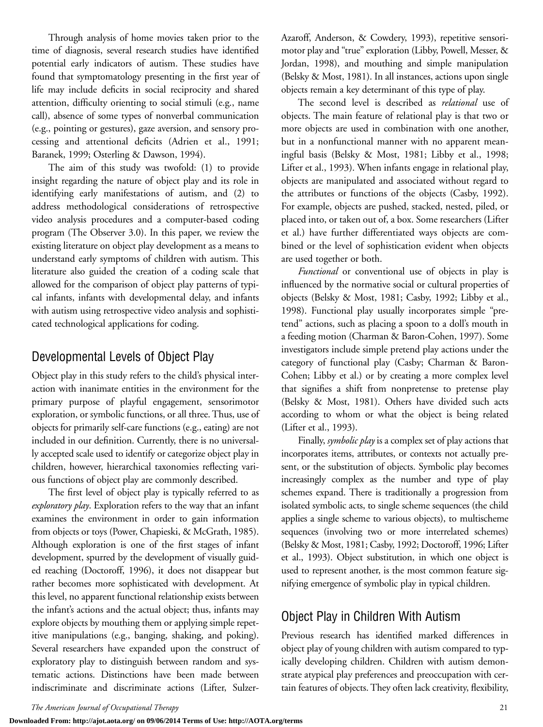Through analysis of home movies taken prior to the time of diagnosis, several research studies have identified potential early indicators of autism. These studies have found that symptomatology presenting in the first year of life may include deficits in social reciprocity and shared attention, difficulty orienting to social stimuli (e.g., name call), absence of some types of nonverbal communication (e.g., pointing or gestures), gaze aversion, and sensory processing and attentional deficits (Adrien et al., 1991; Baranek, 1999; Osterling & Dawson, 1994).

The aim of this study was twofold: (1) to provide insight regarding the nature of object play and its role in identifying early manifestations of autism, and (2) to address methodological considerations of retrospective video analysis procedures and a computer-based coding program (The Observer 3.0). In this paper, we review the existing literature on object play development as a means to understand early symptoms of children with autism. This literature also guided the creation of a coding scale that allowed for the comparison of object play patterns of typical infants, infants with developmental delay, and infants with autism using retrospective video analysis and sophisticated technological applications for coding.

## Developmental Levels of Object Play

Object play in this study refers to the child's physical interaction with inanimate entities in the environment for the primary purpose of playful engagement, sensorimotor exploration, or symbolic functions, or all three. Thus, use of objects for primarily self-care functions (e.g., eating) are not included in our definition. Currently, there is no universally accepted scale used to identify or categorize object play in children, however, hierarchical taxonomies reflecting various functions of object play are commonly described.

The first level of object play is typically referred to as *exploratory play*. Exploration refers to the way that an infant examines the environment in order to gain information from objects or toys (Power, Chapieski, & McGrath, 1985). Although exploration is one of the first stages of infant development, spurred by the development of visually guided reaching (Doctoroff, 1996), it does not disappear but rather becomes more sophisticated with development. At this level, no apparent functional relationship exists between the infant's actions and the actual object; thus, infants may explore objects by mouthing them or applying simple repetitive manipulations (e.g., banging, shaking, and poking). Several researchers have expanded upon the construct of exploratory play to distinguish between random and systematic actions. Distinctions have been made between indiscriminate and discriminate actions (Lifter, SulzerAzaroff, Anderson, & Cowdery, 1993), repetitive sensorimotor play and "true" exploration (Libby, Powell, Messer, & Jordan, 1998), and mouthing and simple manipulation (Belsky & Most, 1981). In all instances, actions upon single objects remain a key determinant of this type of play.

The second level is described as *relational* use of objects. The main feature of relational play is that two or more objects are used in combination with one another, but in a nonfunctional manner with no apparent meaningful basis (Belsky & Most, 1981; Libby et al., 1998; Lifter et al., 1993). When infants engage in relational play, objects are manipulated and associated without regard to the attributes or functions of the objects (Casby, 1992). For example, objects are pushed, stacked, nested, piled, or placed into, or taken out of, a box. Some researchers (Lifter et al.) have further differentiated ways objects are combined or the level of sophistication evident when objects are used together or both.

*Functional* or conventional use of objects in play is influenced by the normative social or cultural properties of objects (Belsky & Most, 1981; Casby, 1992; Libby et al., 1998). Functional play usually incorporates simple "pretend" actions, such as placing a spoon to a doll's mouth in a feeding motion (Charman & Baron-Cohen, 1997). Some investigators include simple pretend play actions under the category of functional play (Casby; Charman & Baron-Cohen; Libby et al.) or by creating a more complex level that signifies a shift from nonpretense to pretense play (Belsky & Most, 1981). Others have divided such acts according to whom or what the object is being related (Lifter et al., 1993).

Finally, *symbolic play* is a complex set of play actions that incorporates items, attributes, or contexts not actually present, or the substitution of objects. Symbolic play becomes increasingly complex as the number and type of play schemes expand. There is traditionally a progression from isolated symbolic acts, to single scheme sequences (the child applies a single scheme to various objects), to multischeme sequences (involving two or more interrelated schemes) (Belsky & Most, 1981; Casby, 1992; Doctoroff, 1996; Lifter et al., 1993). Object substitution, in which one object is used to represent another, is the most common feature signifying emergence of symbolic play in typical children.

## Object Play in Children With Autism

Previous research has identified marked differences in object play of young children with autism compared to typically developing children. Children with autism demonstrate atypical play preferences and preoccupation with certain features of objects. They often lack creativity, flexibility,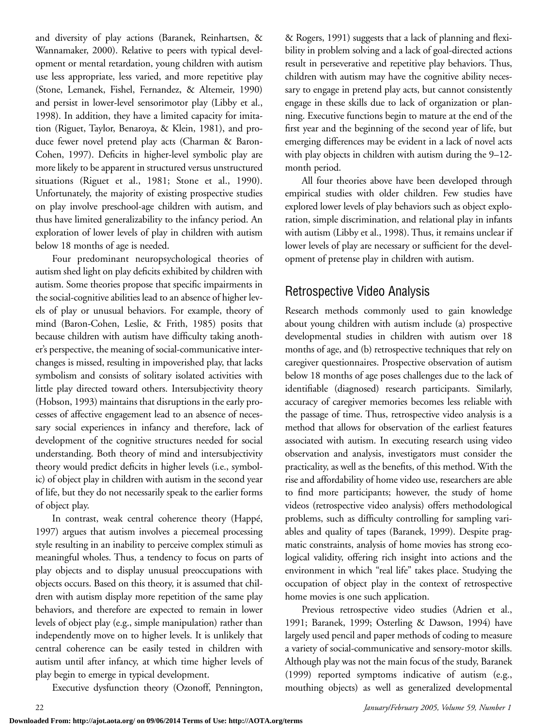and diversity of play actions (Baranek, Reinhartsen, & Wannamaker, 2000). Relative to peers with typical development or mental retardation, young children with autism use less appropriate, less varied, and more repetitive play (Stone, Lemanek, Fishel, Fernandez, & Altemeir, 1990) and persist in lower-level sensorimotor play (Libby et al., 1998). In addition, they have a limited capacity for imitation (Riguet, Taylor, Benaroya, & Klein, 1981), and produce fewer novel pretend play acts (Charman & Baron-Cohen, 1997). Deficits in higher-level symbolic play are more likely to be apparent in structured versus unstructured situations (Riguet et al., 1981; Stone et al., 1990). Unfortunately, the majority of existing prospective studies on play involve preschool-age children with autism, and thus have limited generalizability to the infancy period. An exploration of lower levels of play in children with autism below 18 months of age is needed.

Four predominant neuropsychological theories of autism shed light on play deficits exhibited by children with autism. Some theories propose that specific impairments in the social-cognitive abilities lead to an absence of higher levels of play or unusual behaviors. For example, theory of mind (Baron-Cohen, Leslie, & Frith, 1985) posits that because children with autism have difficulty taking another's perspective, the meaning of social-communicative interchanges is missed, resulting in impoverished play, that lacks symbolism and consists of solitary isolated activities with little play directed toward others. Intersubjectivity theory (Hobson, 1993) maintains that disruptions in the early processes of affective engagement lead to an absence of necessary social experiences in infancy and therefore, lack of development of the cognitive structures needed for social understanding. Both theory of mind and intersubjectivity theory would predict deficits in higher levels (i.e., symbolic) of object play in children with autism in the second year of life, but they do not necessarily speak to the earlier forms of object play.

In contrast, weak central coherence theory (Happé, 1997) argues that autism involves a piecemeal processing style resulting in an inability to perceive complex stimuli as meaningful wholes. Thus, a tendency to focus on parts of play objects and to display unusual preoccupations with objects occurs. Based on this theory, it is assumed that children with autism display more repetition of the same play behaviors, and therefore are expected to remain in lower levels of object play (e.g., simple manipulation) rather than independently move on to higher levels. It is unlikely that central coherence can be easily tested in children with autism until after infancy, at which time higher levels of play begin to emerge in typical development.

Executive dysfunction theory (Ozonoff, Pennington,

& Rogers, 1991) suggests that a lack of planning and flexibility in problem solving and a lack of goal-directed actions result in perseverative and repetitive play behaviors. Thus, children with autism may have the cognitive ability necessary to engage in pretend play acts, but cannot consistently engage in these skills due to lack of organization or planning. Executive functions begin to mature at the end of the first year and the beginning of the second year of life, but emerging differences may be evident in a lack of novel acts with play objects in children with autism during the 9–12 month period.

All four theories above have been developed through empirical studies with older children. Few studies have explored lower levels of play behaviors such as object exploration, simple discrimination, and relational play in infants with autism (Libby et al., 1998). Thus, it remains unclear if lower levels of play are necessary or sufficient for the development of pretense play in children with autism.

# Retrospective Video Analysis

Research methods commonly used to gain knowledge about young children with autism include (a) prospective developmental studies in children with autism over 18 months of age, and (b) retrospective techniques that rely on caregiver questionnaires. Prospective observation of autism below 18 months of age poses challenges due to the lack of identifiable (diagnosed) research participants. Similarly, accuracy of caregiver memories becomes less reliable with the passage of time. Thus, retrospective video analysis is a method that allows for observation of the earliest features associated with autism. In executing research using video observation and analysis, investigators must consider the practicality, as well as the benefits, of this method. With the rise and affordability of home video use, researchers are able to find more participants; however, the study of home videos (retrospective video analysis) offers methodological problems, such as difficulty controlling for sampling variables and quality of tapes (Baranek, 1999). Despite pragmatic constraints, analysis of home movies has strong ecological validity, offering rich insight into actions and the environment in which "real life" takes place. Studying the occupation of object play in the context of retrospective home movies is one such application.

Previous retrospective video studies (Adrien et al., 1991; Baranek, 1999; Osterling & Dawson, 1994) have largely used pencil and paper methods of coding to measure a variety of social-communicative and sensory-motor skills. Although play was not the main focus of the study, Baranek (1999) reported symptoms indicative of autism (e.g., mouthing objects) as well as generalized developmental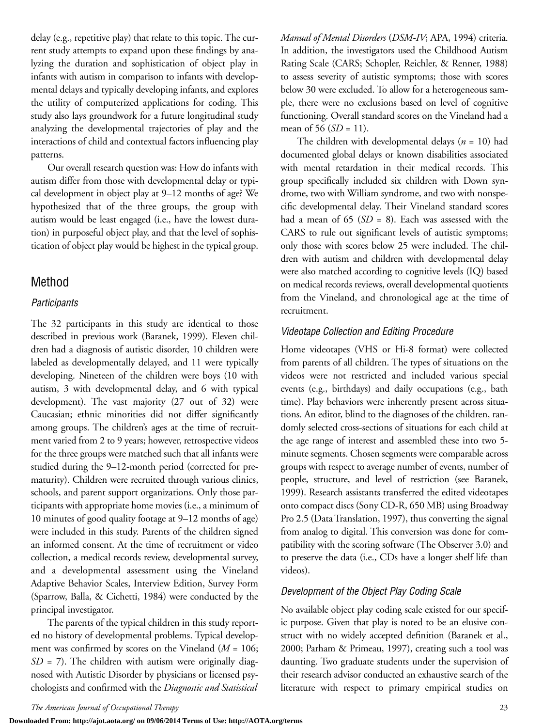delay (e.g., repetitive play) that relate to this topic. The current study attempts to expand upon these findings by analyzing the duration and sophistication of object play in infants with autism in comparison to infants with developmental delays and typically developing infants, and explores the utility of computerized applications for coding. This study also lays groundwork for a future longitudinal study analyzing the developmental trajectories of play and the interactions of child and contextual factors influencing play patterns.

Our overall research question was: How do infants with autism differ from those with developmental delay or typical development in object play at 9–12 months of age? We hypothesized that of the three groups, the group with autism would be least engaged (i.e., have the lowest duration) in purposeful object play, and that the level of sophistication of object play would be highest in the typical group.

## Method

#### *Participants*

The 32 participants in this study are identical to those described in previous work (Baranek, 1999). Eleven children had a diagnosis of autistic disorder, 10 children were labeled as developmentally delayed, and 11 were typically developing. Nineteen of the children were boys (10 with autism, 3 with developmental delay, and 6 with typical development). The vast majority (27 out of 32) were Caucasian; ethnic minorities did not differ significantly among groups. The children's ages at the time of recruitment varied from 2 to 9 years; however, retrospective videos for the three groups were matched such that all infants were studied during the 9–12-month period (corrected for prematurity). Children were recruited through various clinics, schools, and parent support organizations. Only those participants with appropriate home movies (i.e., a minimum of 10 minutes of good quality footage at 9–12 months of age) were included in this study. Parents of the children signed an informed consent. At the time of recruitment or video collection, a medical records review, developmental survey, and a developmental assessment using the Vineland Adaptive Behavior Scales, Interview Edition, Survey Form (Sparrow, Balla, & Cichetti, 1984) were conducted by the principal investigator.

The parents of the typical children in this study reported no history of developmental problems. Typical development was confirmed by scores on the Vineland (*M* = 106;  $SD = 7$ ). The children with autism were originally diagnosed with Autistic Disorder by physicians or licensed psychologists and confirmed with the *Diagnostic and Statistical* *Manual of Mental Disorders* (*DSM-IV*; APA, 1994) criteria. In addition, the investigators used the Childhood Autism Rating Scale (CARS; Schopler, Reichler, & Renner, 1988) to assess severity of autistic symptoms; those with scores below 30 were excluded. To allow for a heterogeneous sample, there were no exclusions based on level of cognitive functioning. Overall standard scores on the Vineland had a mean of 56 (*SD* = 11).

The children with developmental delays (*n* = 10) had documented global delays or known disabilities associated with mental retardation in their medical records. This group specifically included six children with Down syndrome, two with William syndrome, and two with nonspecific developmental delay. Their Vineland standard scores had a mean of 65 (*SD* = 8). Each was assessed with the CARS to rule out significant levels of autistic symptoms; only those with scores below 25 were included. The children with autism and children with developmental delay were also matched according to cognitive levels (IQ) based on medical records reviews, overall developmental quotients from the Vineland, and chronological age at the time of recruitment.

#### *Videotape Collection and Editing Procedure*

Home videotapes (VHS or Hi-8 format) were collected from parents of all children. The types of situations on the videos were not restricted and included various special events (e.g., birthdays) and daily occupations (e.g., bath time). Play behaviors were inherently present across situations. An editor, blind to the diagnoses of the children, randomly selected cross-sections of situations for each child at the age range of interest and assembled these into two 5 minute segments. Chosen segments were comparable across groups with respect to average number of events, number of people, structure, and level of restriction (see Baranek, 1999). Research assistants transferred the edited videotapes onto compact discs (Sony CD-R, 650 MB) using Broadway Pro 2.5 (Data Translation, 1997), thus converting the signal from analog to digital. This conversion was done for compatibility with the scoring software (The Observer 3.0) and to preserve the data (i.e., CDs have a longer shelf life than videos).

#### *Development of the Object Play Coding Scale*

No available object play coding scale existed for our specific purpose. Given that play is noted to be an elusive construct with no widely accepted definition (Baranek et al., 2000; Parham & Primeau, 1997), creating such a tool was daunting. Two graduate students under the supervision of their research advisor conducted an exhaustive search of the literature with respect to primary empirical studies on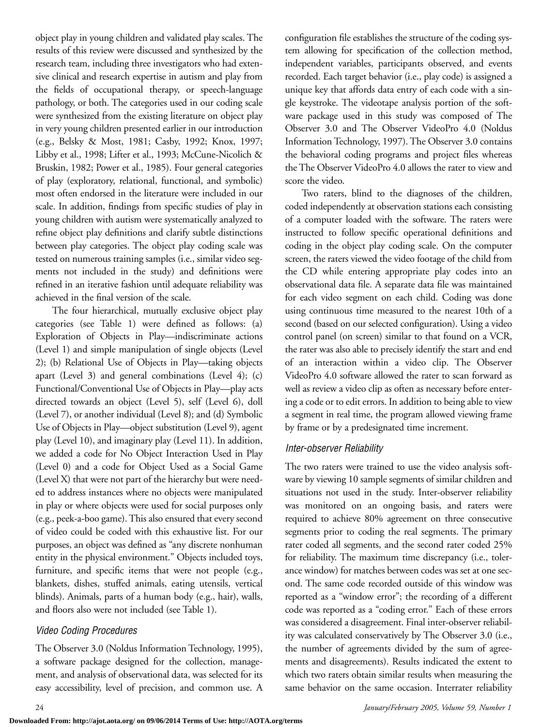object play in young children and validated play scales. The results of this review were discussed and synthesized by the research team, including three investigators who had extensive clinical and research expertise in autism and play from the fields of occupational therapy, or speech-language pathology, or both. The categories used in our coding scale were synthesized from the existing literature on object play in very young children presented earlier in our introduction (e.g., Belsky & Most, 1981; Casby, 1992; Knox, 1997; Libby et al., 1998; Lifter et al., 1993; McCune-Nicolich & Bruskin, 1982; Power et al., 1985). Four general categories of play (exploratory, relational, functional, and symbolic) most often endorsed in the literature were included in our scale. In addition, findings from specific studies of play in young children with autism were systematically analyzed to refine object play definitions and clarify subtle distinctions between play categories. The object play coding scale was tested on numerous training samples (i.e., similar video segments not included in the study) and definitions were refined in an iterative fashion until adequate reliability was achieved in the final version of the scale.

The four hierarchical, mutually exclusive object play categories (see Table 1) were defined as follows: (a) Exploration of Objects in Play—indiscriminate actions (Level 1) and simple manipulation of single objects (Level 2); (b) Relational Use of Objects in Play—taking objects apart (Level 3) and general combinations (Level 4); (c) Functional/Conventional Use of Objects in Play—play acts directed towards an object (Level 5), self (Level 6), doll (Level 7), or another individual (Level 8); and (d) Symbolic Use of Objects in Play—object substitution (Level 9), agent play (Level 10), and imaginary play (Level 11). In addition, we added a code for No Object Interaction Used in Play (Level 0) and a code for Object Used as a Social Game (Level X) that were not part of the hierarchy but were needed to address instances where no objects were manipulated in play or where objects were used for social purposes only (e.g., peek-a-boo game). This also ensured that every second of video could be coded with this exhaustive list. For our purposes, an object was defined as "any discrete nonhuman entity in the physical environment." Objects included toys, furniture, and specific items that were not people (e.g., blankets, dishes, stuffed animals, eating utensils, vertical blinds). Animals, parts of a human body (e.g., hair), walls, and floors also were not included (see Table 1).

### *Video Coding Procedures*

The Observer 3.0 (Noldus Information Technology, 1995), a software package designed for the collection, management, and analysis of observational data, was selected for its easy accessibility, level of precision, and common use. A configuration file establishes the structure of the coding system allowing for specification of the collection method, independent variables, participants observed, and events recorded. Each target behavior (i.e., play code) is assigned a unique key that affords data entry of each code with a single keystroke. The videotape analysis portion of the software package used in this study was composed of The Observer 3.0 and The Observer VideoPro 4.0 (Noldus Information Technology, 1997). The Observer 3.0 contains the behavioral coding programs and project files whereas the The Observer VideoPro 4.0 allows the rater to view and score the video.

Two raters, blind to the diagnoses of the children, coded independently at observation stations each consisting of a computer loaded with the software. The raters were instructed to follow specific operational definitions and coding in the object play coding scale. On the computer screen, the raters viewed the video footage of the child from the CD while entering appropriate play codes into an observational data file. A separate data file was maintained for each video segment on each child. Coding was done using continuous time measured to the nearest 10th of a second (based on our selected configuration). Using a video control panel (on screen) similar to that found on a VCR, the rater was also able to precisely identify the start and end of an interaction within a video clip. The Observer VideoPro 4.0 software allowed the rater to scan forward as well as review a video clip as often as necessary before entering a code or to edit errors. In addition to being able to view a segment in real time, the program allowed viewing frame by frame or by a predesignated time increment.

#### *Inter-observer Reliability*

The two raters were trained to use the video analysis software by viewing 10 sample segments of similar children and situations not used in the study. Inter-observer reliability was monitored on an ongoing basis, and raters were required to achieve 80% agreement on three consecutive segments prior to coding the real segments. The primary rater coded all segments, and the second rater coded 25% for reliability. The maximum time discrepancy (i.e., tolerance window) for matches between codes was set at one second. The same code recorded outside of this window was reported as a "window error"; the recording of a different code was reported as a "coding error." Each of these errors was considered a disagreement. Final inter-observer reliability was calculated conservatively by The Observer 3.0 (i.e., the number of agreements divided by the sum of agreements and disagreements). Results indicated the extent to which two raters obtain similar results when measuring the same behavior on the same occasion. Interrater reliability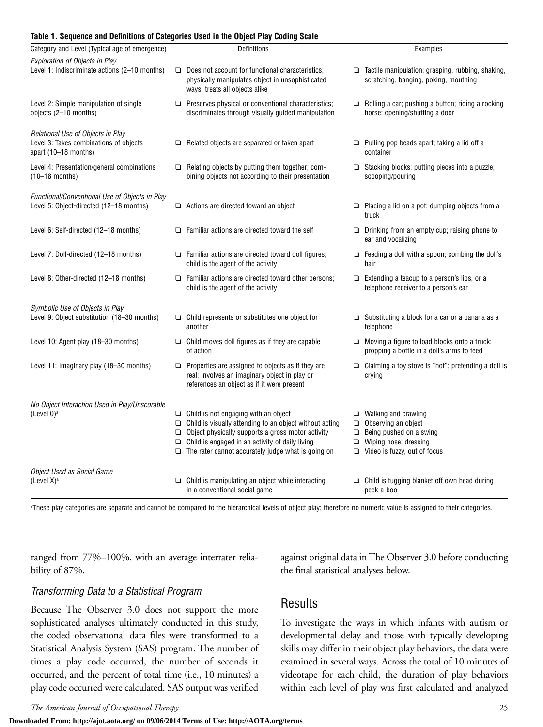#### **Table 1. Sequence and Definitions of Categories Used in the Object Play Coding Scale**

| Category and Level (Typical age of emergence)                                                       |           | Definitions                                                                                                                                                                                                                                                                                      | Examples                                                                                                                                                           |
|-----------------------------------------------------------------------------------------------------|-----------|--------------------------------------------------------------------------------------------------------------------------------------------------------------------------------------------------------------------------------------------------------------------------------------------------|--------------------------------------------------------------------------------------------------------------------------------------------------------------------|
| Exploration of Objects in Play<br>Level 1: Indiscriminate actions (2-10 months)                     |           | $\Box$ Does not account for functional characteristics;<br>physically manipulates object in unsophisticated<br>ways; treats all objects alike                                                                                                                                                    | $\Box$ Tactile manipulation; grasping, rubbing, shaking,<br>scratching, banging, poking, mouthing                                                                  |
| Level 2: Simple manipulation of single<br>objects (2-10 months)                                     |           | Preserves physical or conventional characteristics;<br>discriminates through visually guided manipulation                                                                                                                                                                                        | $\Box$ Rolling a car; pushing a button; riding a rocking<br>horse; opening/shutting a door                                                                         |
| Relational Use of Objects in Play<br>Level 3: Takes combinations of objects<br>apart (10-18 months) |           | $\Box$ Related objects are separated or taken apart                                                                                                                                                                                                                                              | $\Box$ Pulling pop beads apart; taking a lid off a<br>container                                                                                                    |
| Level 4: Presentation/general combinations<br>$(10-18$ months)                                      |           | $\Box$ Relating objects by putting them together; com-<br>bining objects not according to their presentation                                                                                                                                                                                     | $\Box$ Stacking blocks; putting pieces into a puzzle;<br>scooping/pouring                                                                                          |
| Functional/Conventional Use of Objects in Play<br>Level 5: Object-directed (12-18 months)           |           | $\Box$ Actions are directed toward an object                                                                                                                                                                                                                                                     | $\Box$ Placing a lid on a pot; dumping objects from a<br>truck                                                                                                     |
| Level 6: Self-directed (12-18 months)                                                               |           | $\Box$ Familiar actions are directed toward the self                                                                                                                                                                                                                                             | $\Box$ Drinking from an empty cup; raising phone to<br>ear and vocalizing                                                                                          |
| Level 7: Doll-directed (12-18 months)                                                               |           | $\Box$ Familiar actions are directed toward doll figures;<br>child is the agent of the activity                                                                                                                                                                                                  | $\Box$ Feeding a doll with a spoon; combing the doll's<br>hair                                                                                                     |
| Level 8: Other-directed (12-18 months)                                                              |           | $\Box$ Familiar actions are directed toward other persons;<br>child is the agent of the activity                                                                                                                                                                                                 | $\Box$ Extending a teacup to a person's lips, or a<br>telephone receiver to a person's ear                                                                         |
| Symbolic Use of Objects in Play<br>Level 9: Object substitution (18-30 months)                      | another   | $\Box$ Child represents or substitutes one object for                                                                                                                                                                                                                                            | $\Box$ Substituting a block for a car or a banana as a<br>telephone                                                                                                |
| Level 10: Agent play (18-30 months)                                                                 | of action | $\Box$ Child moves doll figures as if they are capable                                                                                                                                                                                                                                           | $\Box$ Moving a figure to load blocks onto a truck;<br>propping a bottle in a doll's arms to feed                                                                  |
| Level 11: Imaginary play (18–30 months)                                                             |           | $\Box$ Properties are assigned to objects as if they are<br>real; Involves an imaginary object in play or<br>references an object as if it were present                                                                                                                                          | $\Box$ Claiming a toy stove is "hot"; pretending a doll is<br>crying                                                                                               |
| No Object Interaction Used in Play/Unscorable<br>(Level $0$ ) <sup>a</sup>                          |           | $\Box$ Child is not engaging with an object<br>$\Box$ Child is visually attending to an object without acting<br>$\Box$ Object physically supports a gross motor activity<br>$\Box$ Child is engaged in an activity of daily living<br>$\Box$ The rater cannot accurately judge what is going on | $\Box$ Walking and crawling<br>$\Box$ Observing an object<br>$\Box$ Being pushed on a swing<br>$\Box$ Wiping nose; dressing<br>$\Box$ Video is fuzzy, out of focus |
| Object Used as Social Game<br>(Level $X$ ) <sup>a</sup>                                             |           | $\Box$ Child is manipulating an object while interacting<br>in a conventional social game                                                                                                                                                                                                        | $\Box$ Child is tugging blanket off own head during<br>peek-a-boo                                                                                                  |

a These play categories are separate and cannot be compared to the hierarchical levels of object play; therefore no numeric value is assigned to their categories.

ranged from 77%–100%, with an average interrater reliability of 87%.

against original data in The Observer 3.0 before conducting the final statistical analyses below.

## *Transforming Data to a Statistical Program*

Because The Observer 3.0 does not support the more sophisticated analyses ultimately conducted in this study, the coded observational data files were transformed to a Statistical Analysis System (SAS) program. The number of times a play code occurred, the number of seconds it occurred, and the percent of total time (i.e., 10 minutes) a play code occurred were calculated. SAS output was verified

## Results

To investigate the ways in which infants with autism or developmental delay and those with typically developing skills may differ in their object play behaviors, the data were examined in several ways. Across the total of 10 minutes of videotape for each child, the duration of play behaviors within each level of play was first calculated and analyzed

**Downloaded From: http://ajot.aota.org/ on 09/06/2014 Terms of Use: http://AOTA.org/terms**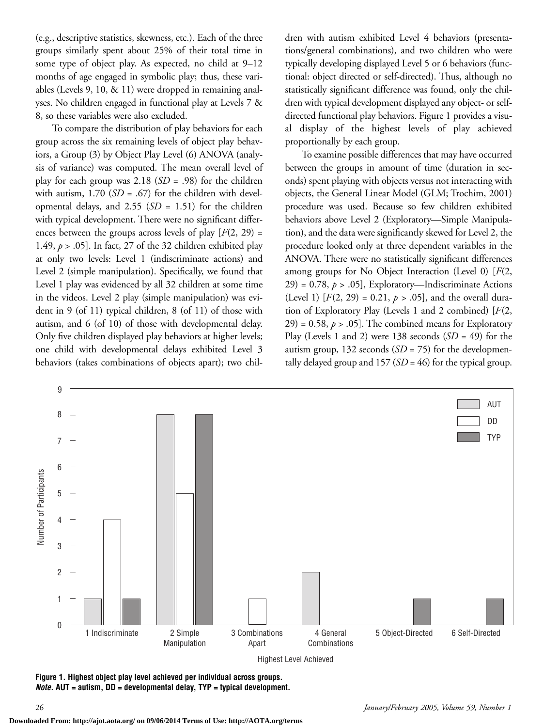(e.g., descriptive statistics, skewness, etc.). Each of the three groups similarly spent about 25% of their total time in some type of object play. As expected, no child at 9–12 months of age engaged in symbolic play; thus, these variables (Levels 9, 10, & 11) were dropped in remaining analyses. No children engaged in functional play at Levels 7 & 8, so these variables were also excluded.

To compare the distribution of play behaviors for each group across the six remaining levels of object play behaviors, a Group (3) by Object Play Level (6) ANOVA (analysis of variance) was computed. The mean overall level of play for each group was 2.18 (*SD* = .98) for the children with autism,  $1.70$  (*SD* = .67) for the children with developmental delays, and 2.55 (*SD* = 1.51) for the children with typical development. There were no significant differences between the groups across levels of play  $[F(2, 29) =$ 1.49, *p* > .05]. In fact, 27 of the 32 children exhibited play at only two levels: Level 1 (indiscriminate actions) and Level 2 (simple manipulation). Specifically, we found that Level 1 play was evidenced by all 32 children at some time in the videos. Level 2 play (simple manipulation) was evident in 9 (of 11) typical children, 8 (of 11) of those with autism, and 6 (of 10) of those with developmental delay. Only five children displayed play behaviors at higher levels; one child with developmental delays exhibited Level 3 behaviors (takes combinations of objects apart); two children with autism exhibited Level 4 behaviors (presentations/general combinations), and two children who were typically developing displayed Level 5 or 6 behaviors (functional: object directed or self-directed). Thus, although no statistically significant difference was found, only the children with typical development displayed any object- or selfdirected functional play behaviors. Figure 1 provides a visual display of the highest levels of play achieved proportionally by each group.

To examine possible differences that may have occurred between the groups in amount of time (duration in seconds) spent playing with objects versus not interacting with objects, the General Linear Model (GLM; Trochim, 2001) procedure was used. Because so few children exhibited behaviors above Level 2 (Exploratory—Simple Manipulation), and the data were significantly skewed for Level 2, the procedure looked only at three dependent variables in the ANOVA. There were no statistically significant differences among groups for No Object Interaction (Level 0) [*F*(2,  $29$ ) = 0.78,  $p > .05$ ], Exploratory—Indiscriminate Actions (Level 1)  $[F(2, 29) = 0.21, p > .05]$ , and the overall duration of Exploratory Play (Levels 1 and 2 combined) [*F*(2,  $29$ ) = 0.58,  $p > .05$ ]. The combined means for Exploratory Play (Levels 1 and 2) were 138 seconds (*SD* = 49) for the autism group, 132 seconds (*SD* = 75) for the developmentally delayed group and 157 (*SD* = 46) for the typical group.



**Figure 1. Highest object play level achieved per individual across groups.**  *Note.* **AUT = autism, DD = developmental delay, TYP = typical development.**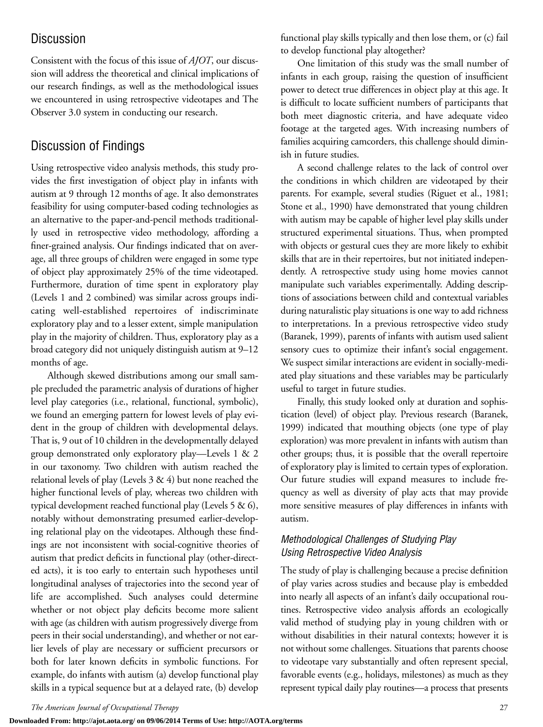# **Discussion**

Consistent with the focus of this issue of *AJOT*, our discussion will address the theoretical and clinical implications of our research findings, as well as the methodological issues we encountered in using retrospective videotapes and The Observer 3.0 system in conducting our research.

# Discussion of Findings

Using retrospective video analysis methods, this study provides the first investigation of object play in infants with autism at 9 through 12 months of age. It also demonstrates feasibility for using computer-based coding technologies as an alternative to the paper-and-pencil methods traditionally used in retrospective video methodology, affording a finer-grained analysis. Our findings indicated that on average, all three groups of children were engaged in some type of object play approximately 25% of the time videotaped. Furthermore, duration of time spent in exploratory play (Levels 1 and 2 combined) was similar across groups indicating well-established repertoires of indiscriminate exploratory play and to a lesser extent, simple manipulation play in the majority of children. Thus, exploratory play as a broad category did not uniquely distinguish autism at 9–12 months of age.

Although skewed distributions among our small sample precluded the parametric analysis of durations of higher level play categories (i.e., relational, functional, symbolic), we found an emerging pattern for lowest levels of play evident in the group of children with developmental delays. That is, 9 out of 10 children in the developmentally delayed group demonstrated only exploratory play—Levels 1 & 2 in our taxonomy. Two children with autism reached the relational levels of play (Levels 3 & 4) but none reached the higher functional levels of play, whereas two children with typical development reached functional play (Levels 5 & 6), notably without demonstrating presumed earlier-developing relational play on the videotapes. Although these findings are not inconsistent with social-cognitive theories of autism that predict deficits in functional play (other-directed acts), it is too early to entertain such hypotheses until longitudinal analyses of trajectories into the second year of life are accomplished. Such analyses could determine whether or not object play deficits become more salient with age (as children with autism progressively diverge from peers in their social understanding), and whether or not earlier levels of play are necessary or sufficient precursors or both for later known deficits in symbolic functions. For example, do infants with autism (a) develop functional play skills in a typical sequence but at a delayed rate, (b) develop

functional play skills typically and then lose them, or (c) fail to develop functional play altogether?

One limitation of this study was the small number of infants in each group, raising the question of insufficient power to detect true differences in object play at this age. It is difficult to locate sufficient numbers of participants that both meet diagnostic criteria, and have adequate video footage at the targeted ages. With increasing numbers of families acquiring camcorders, this challenge should diminish in future studies.

A second challenge relates to the lack of control over the conditions in which children are videotaped by their parents. For example, several studies (Riguet et al., 1981; Stone et al., 1990) have demonstrated that young children with autism may be capable of higher level play skills under structured experimental situations. Thus, when prompted with objects or gestural cues they are more likely to exhibit skills that are in their repertoires, but not initiated independently. A retrospective study using home movies cannot manipulate such variables experimentally. Adding descriptions of associations between child and contextual variables during naturalistic play situations is one way to add richness to interpretations. In a previous retrospective video study (Baranek, 1999), parents of infants with autism used salient sensory cues to optimize their infant's social engagement. We suspect similar interactions are evident in socially-mediated play situations and these variables may be particularly useful to target in future studies.

Finally, this study looked only at duration and sophistication (level) of object play. Previous research (Baranek, 1999) indicated that mouthing objects (one type of play exploration) was more prevalent in infants with autism than other groups; thus, it is possible that the overall repertoire of exploratory play is limited to certain types of exploration. Our future studies will expand measures to include frequency as well as diversity of play acts that may provide more sensitive measures of play differences in infants with autism.

## *Methodological Challenges of Studying Play Using Retrospective Video Analysis*

The study of play is challenging because a precise definition of play varies across studies and because play is embedded into nearly all aspects of an infant's daily occupational routines. Retrospective video analysis affords an ecologically valid method of studying play in young children with or without disabilities in their natural contexts; however it is not without some challenges. Situations that parents choose to videotape vary substantially and often represent special, favorable events (e.g., holidays, milestones) as much as they represent typical daily play routines—a process that presents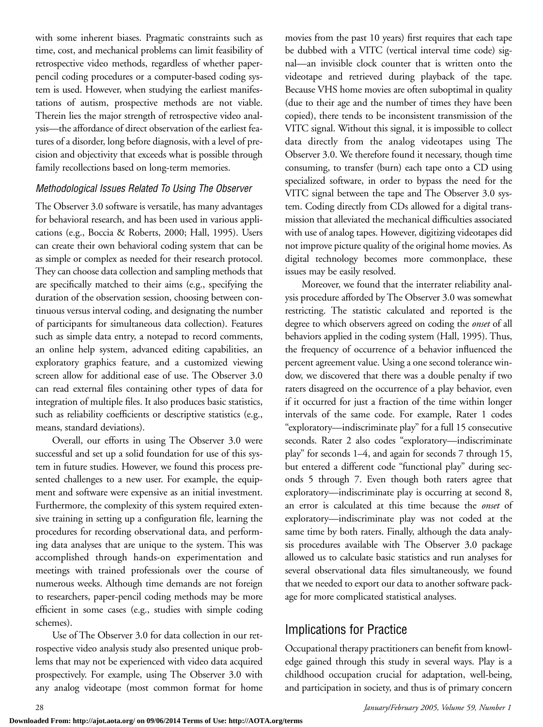with some inherent biases. Pragmatic constraints such as time, cost, and mechanical problems can limit feasibility of retrospective video methods, regardless of whether paperpencil coding procedures or a computer-based coding system is used. However, when studying the earliest manifestations of autism, prospective methods are not viable. Therein lies the major strength of retrospective video analysis—the affordance of direct observation of the earliest features of a disorder, long before diagnosis, with a level of precision and objectivity that exceeds what is possible through family recollections based on long-term memories.

#### *Methodological Issues Related To Using The Observer*

The Observer 3.0 software is versatile, has many advantages for behavioral research, and has been used in various applications (e.g., Boccia & Roberts, 2000; Hall, 1995). Users can create their own behavioral coding system that can be as simple or complex as needed for their research protocol. They can choose data collection and sampling methods that are specifically matched to their aims (e.g., specifying the duration of the observation session, choosing between continuous versus interval coding, and designating the number of participants for simultaneous data collection). Features such as simple data entry, a notepad to record comments, an online help system, advanced editing capabilities, an exploratory graphics feature, and a customized viewing screen allow for additional ease of use. The Observer 3.0 can read external files containing other types of data for integration of multiple files. It also produces basic statistics, such as reliability coefficients or descriptive statistics (e.g., means, standard deviations).

Overall, our efforts in using The Observer 3.0 were successful and set up a solid foundation for use of this system in future studies. However, we found this process presented challenges to a new user. For example, the equipment and software were expensive as an initial investment. Furthermore, the complexity of this system required extensive training in setting up a configuration file, learning the procedures for recording observational data, and performing data analyses that are unique to the system. This was accomplished through hands-on experimentation and meetings with trained professionals over the course of numerous weeks. Although time demands are not foreign to researchers, paper-pencil coding methods may be more efficient in some cases (e.g., studies with simple coding schemes).

Use of The Observer 3.0 for data collection in our retrospective video analysis study also presented unique problems that may not be experienced with video data acquired prospectively. For example, using The Observer 3.0 with any analog videotape (most common format for home

movies from the past 10 years) first requires that each tape be dubbed with a VITC (vertical interval time code) signal—an invisible clock counter that is written onto the videotape and retrieved during playback of the tape. Because VHS home movies are often suboptimal in quality (due to their age and the number of times they have been copied), there tends to be inconsistent transmission of the VITC signal. Without this signal, it is impossible to collect data directly from the analog videotapes using The Observer 3.0. We therefore found it necessary, though time consuming, to transfer (burn) each tape onto a CD using specialized software, in order to bypass the need for the VITC signal between the tape and The Observer 3.0 system. Coding directly from CDs allowed for a digital transmission that alleviated the mechanical difficulties associated with use of analog tapes. However, digitizing videotapes did not improve picture quality of the original home movies. As digital technology becomes more commonplace, these issues may be easily resolved.

Moreover, we found that the interrater reliability analysis procedure afforded by The Observer 3.0 was somewhat restricting. The statistic calculated and reported is the degree to which observers agreed on coding the *onset* of all behaviors applied in the coding system (Hall, 1995). Thus, the frequency of occurrence of a behavior influenced the percent agreement value. Using a one second tolerance window, we discovered that there was a double penalty if two raters disagreed on the occurrence of a play behavior, even if it occurred for just a fraction of the time within longer intervals of the same code. For example, Rater 1 codes "exploratory—indiscriminate play" for a full 15 consecutive seconds. Rater 2 also codes "exploratory—indiscriminate play" for seconds 1–4, and again for seconds 7 through 15, but entered a different code "functional play" during seconds 5 through 7. Even though both raters agree that exploratory—indiscriminate play is occurring at second 8, an error is calculated at this time because the *onset* of exploratory—indiscriminate play was not coded at the same time by both raters. Finally, although the data analysis procedures available with The Observer 3.0 package allowed us to calculate basic statistics and run analyses for several observational data files simultaneously, we found that we needed to export our data to another software package for more complicated statistical analyses.

# Implications for Practice

Occupational therapy practitioners can benefit from knowledge gained through this study in several ways. Play is a childhood occupation crucial for adaptation, well-being, and participation in society, and thus is of primary concern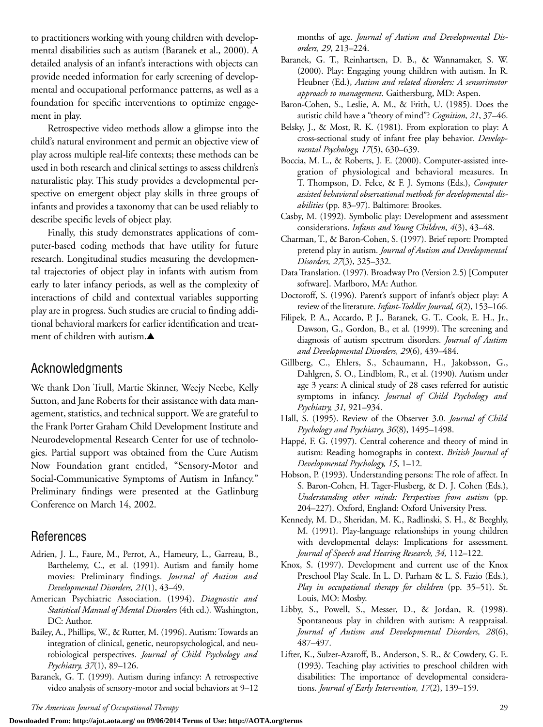to practitioners working with young children with developmental disabilities such as autism (Baranek et al., 2000). A detailed analysis of an infant's interactions with objects can provide needed information for early screening of developmental and occupational performance patterns, as well as a foundation for specific interventions to optimize engagement in play.

Retrospective video methods allow a glimpse into the child's natural environment and permit an objective view of play across multiple real-life contexts; these methods can be used in both research and clinical settings to assess children's naturalistic play. This study provides a developmental perspective on emergent object play skills in three groups of infants and provides a taxonomy that can be used reliably to describe specific levels of object play.

Finally, this study demonstrates applications of computer-based coding methods that have utility for future research. Longitudinal studies measuring the developmental trajectories of object play in infants with autism from early to later infancy periods, as well as the complexity of interactions of child and contextual variables supporting play are in progress. Such studies are crucial to finding additional behavioral markers for earlier identification and treatment of children with autism.▲

## Acknowledgments

We thank Don Trull, Martie Skinner, Weejy Neebe, Kelly Sutton, and Jane Roberts for their assistance with data management, statistics, and technical support. We are grateful to the Frank Porter Graham Child Development Institute and Neurodevelopmental Research Center for use of technologies. Partial support was obtained from the Cure Autism Now Foundation grant entitled, "Sensory-Motor and Social-Communicative Symptoms of Autism in Infancy." Preliminary findings were presented at the Gatlinburg Conference on March 14, 2002.

# References

- Adrien, J. L., Faure, M., Perrot, A., Hameury, L., Garreau, B., Barthelemy, C., et al. (1991). Autism and family home movies: Preliminary findings. *Journal of Autism and Developmental Disorders, 21*(1), 43–49.
- American Psychiatric Association. (1994). *Diagnostic and Statistical Manual of Mental Disorders* (4th ed.)*.* Washington, DC: Author.
- Bailey, A., Phillips, W., & Rutter, M. (1996). Autism: Towards an integration of clinical, genetic, neuropsychological, and neurobiological perspectives. *Journal of Child Psychology and Psychiatry, 37*(1), 89–126.
- Baranek, G. T. (1999). Autism during infancy: A retrospective video analysis of sensory-motor and social behaviors at 9–12

months of age. *Journal of Autism and Developmental Disorders, 29*, 213–224.

- Baranek, G. T., Reinhartsen, D. B., & Wannamaker, S. W. (2000). Play: Engaging young children with autism. In R. Heubner (Ed.), *Autism and related disorders: A sensorimotor approach to management*. Gaithersburg, MD: Aspen.
- Baron-Cohen, S., Leslie, A. M., & Frith, U. (1985). Does the autistic child have a "theory of mind"? *Cognition, 21*, 37–46.
- Belsky, J., & Most, R. K. (1981). From exploration to play: A cross-sectional study of infant free play behavior. *Developmental Psychology, 17*(5), 630–639.
- Boccia, M. L., & Roberts, J. E. (2000). Computer-assisted integration of physiological and behavioral measures. In T. Thompson, D. Felce, & F. J. Symons (Eds.), *Computer assisted behavioral observational methods for developmental disabilities* (pp. 83–97). Baltimore: Brookes.
- Casby, M. (1992). Symbolic play: Development and assessment considerations. *Infants and Young Children, 4*(3), 43–48.
- Charman, T., & Baron-Cohen, S. (1997). Brief report: Prompted pretend play in autism. *Journal of Autism and Developmental Disorders, 27*(3), 325–332.
- Data Translation. (1997). Broadway Pro (Version 2.5) [Computer software]. Marlboro, MA: Author.
- Doctoroff, S. (1996). Parent's support of infant's object play: A review of the literature. *Infant-Toddler Journal, 6*(2), 153–166.
- Filipek, P. A., Accardo, P. J., Baranek, G. T., Cook, E. H., Jr., Dawson, G., Gordon, B., et al. (1999). The screening and diagnosis of autism spectrum disorders. *Journal of Autism and Developmental Disorders, 29*(6), 439–484.
- Gillberg, C., Ehlers, S., Schaumann, H., Jakobsson, G., Dahlgren, S. O., Lindblom, R., et al. (1990). Autism under age 3 years: A clinical study of 28 cases referred for autistic symptoms in infancy. *Journal of Child Psychology and Psychiatry, 31,* 921–934.
- Hall, S. (1995). Review of the Observer 3.0*. Journal of Child Psychology and Psychiatry, 36*(8), 1495–1498.
- Happé, F. G. (1997). Central coherence and theory of mind in autism: Reading homographs in context. *British Journal of Developmental Psychology, 15*, 1–12.
- Hobson, P. (1993). Understanding persons: The role of affect. In S. Baron-Cohen, H. Tager-Flusberg, & D. J. Cohen (Eds.), *Understanding other minds: Perspectives from autism* (pp. 204–227). Oxford, England: Oxford University Press.
- Kennedy, M. D., Sheridan, M. K., Radlinski, S. H., & Beeghly, M. (1991). Play-language relationships in young children with developmental delays: Implications for assessment. *Journal of Speech and Hearing Research, 34,* 112–122.
- Knox, S. (1997). Development and current use of the Knox Preschool Play Scale. In L. D. Parham & L. S. Fazio (Eds.), *Play in occupational therapy for children* (pp. 35–51). St. Louis, MO: Mosby.
- Libby, S., Powell, S., Messer, D., & Jordan, R. (1998). Spontaneous play in children with autism: A reappraisal. *Journal of Autism and Developmental Disorders, 28*(6), 487–497.
- Lifter, K., Sulzer-Azaroff, B., Anderson, S. R., & Cowdery, G. E. (1993). Teaching play activities to preschool children with disabilities: The importance of developmental considerations. *Journal of Early Intervention, 17*(2), 139–159.